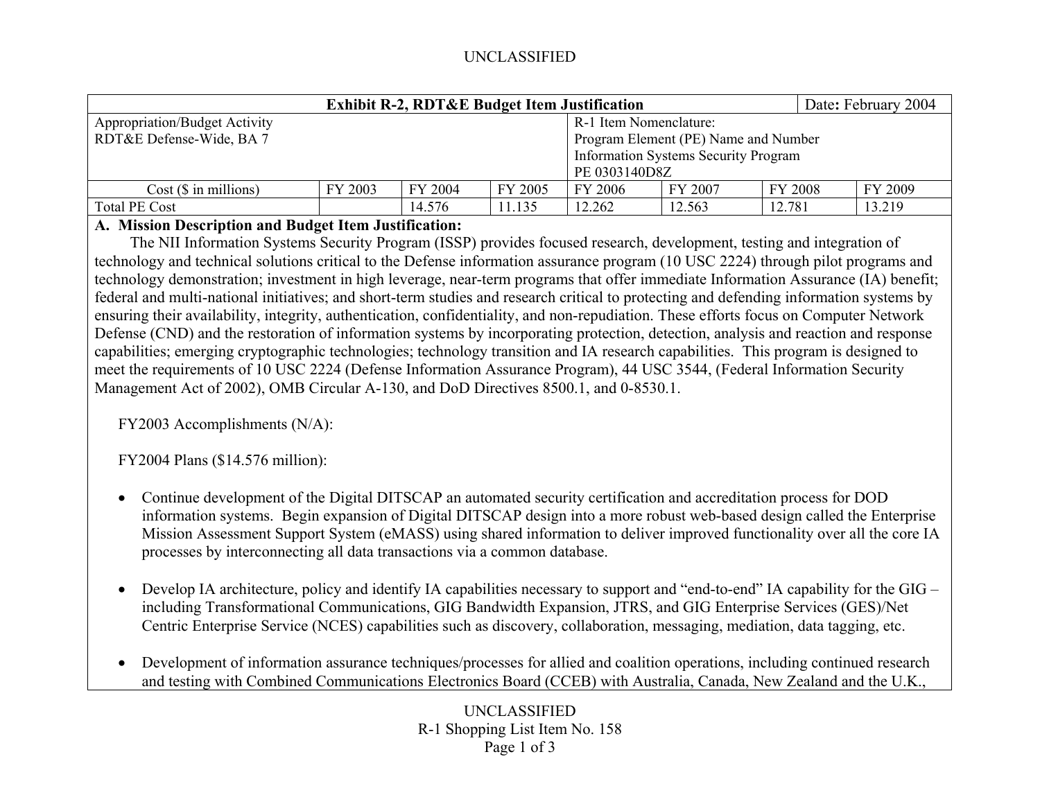## UNCLASSIFIED

| <b>Exhibit R-2, RDT&amp;E Budget Item Justification</b> |                                      |         |         |                                             |               |         | Date: February 2004 |  |  |
|---------------------------------------------------------|--------------------------------------|---------|---------|---------------------------------------------|---------------|---------|---------------------|--|--|
| <b>Appropriation/Budget Activity</b>                    | R-1 Item Nomenclature:               |         |         |                                             |               |         |                     |  |  |
| RDT&E Defense-Wide, BA 7                                | Program Element (PE) Name and Number |         |         |                                             |               |         |                     |  |  |
|                                                         |                                      |         |         | <b>Information Systems Security Program</b> |               |         |                     |  |  |
|                                                         |                                      |         |         |                                             | PE 0303140D8Z |         |                     |  |  |
| $Cost$ ( $\$\$ in millions)                             | FY 2003                              | FY 2004 | FY 2005 | FY 2006                                     | FY 2007       | FY 2008 | FY 2009             |  |  |
| Total PE Cost                                           |                                      | 14.576  | 11.135  | 12.262                                      | 12.563        | 12.781  | 13.219              |  |  |

## **A. Mission Description and Budget Item Justification:**

 The NII Information Systems Security Program (ISSP) provides focused research, development, testing and integration of technology and technical solutions critical to the Defense information assurance program (10 USC 2224) through pilot programs and technology demonstration; investment in high leverage, near-term programs that offer immediate Information Assurance (IA) benefit; federal and multi-national initiatives; and short-term studies and research critical to protecting and defending information systems by ensuring their availability, integrity, authentication, confidentiality, and non-repudiation. These efforts focus on Computer Network Defense (CND) and the restoration of information systems by incorporating protection, detection, analysis and reaction and response capabilities; emerging cryptographic technologies; technology transition and IA research capabilities. This program is designed to meet the requirements of 10 USC 2224 (Defense Information Assurance Program), 44 USC 3544, (Federal Information Security Management Act of 2002), OMB Circular A-130, and DoD Directives 8500.1, and 0-8530.1.

FY2003 Accomplishments (N/A):

FY2004 Plans (\$14.576 million):

- $\bullet$  Continue development of the Digital DITSCAP an automated security certification and accreditation process for DOD information systems. Begin expansion of Digital DITSCAP design into a more robust web-based design called the Enterprise Mission Assessment Support System (eMASS) using shared information to deliver improved functionality over all the core IA processes by interconnecting all data transactions via a common database.
- $\bullet$  Develop IA architecture, policy and identify IA capabilities necessary to support and "end-to-end" IA capability for the GIG – including Transformational Communications, GIG Bandwidth Expansion, JTRS, and GIG Enterprise Services (GES)/Net Centric Enterprise Service (NCES) capabilities such as discovery, collaboration, messaging, mediation, data tagging, etc.
- $\bullet$  Development of information assurance techniques/processes for allied and coalition operations, including continued research and testing with Combined Communications Electronics Board (CCEB) with Australia, Canada, New Zealand and the U.K.,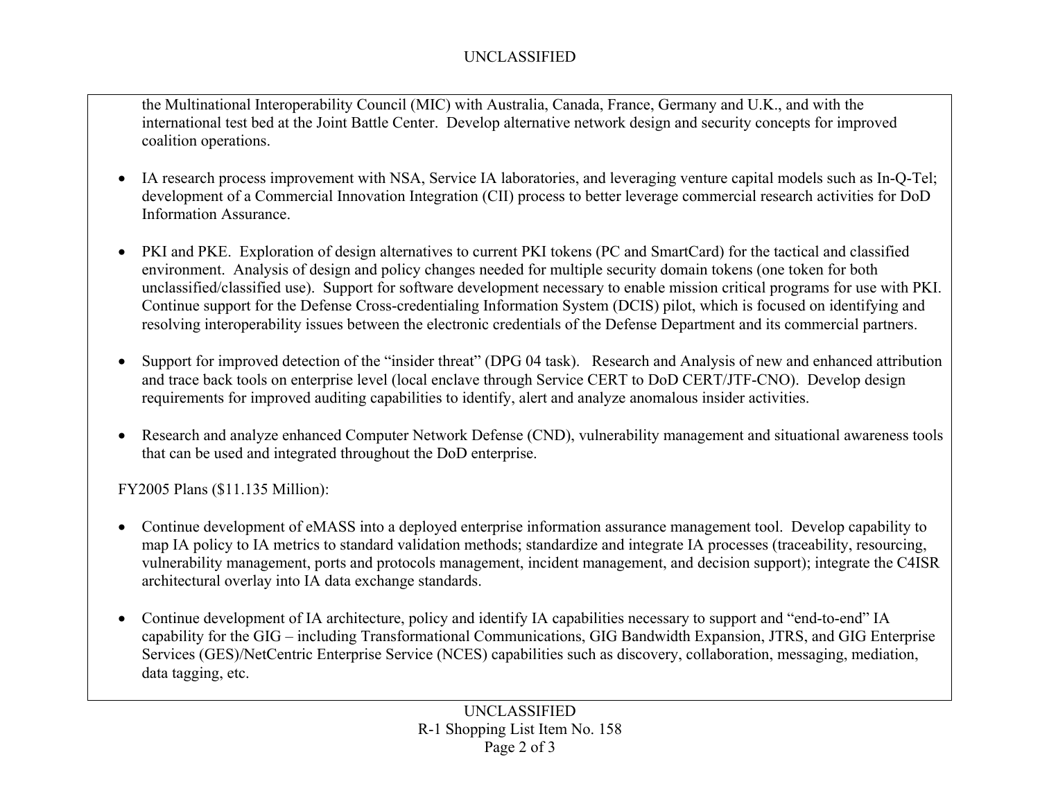## UNCLASSIFIED

the Multinational Interoperability Council (MIC) with Australia, Canada, France, Germany and U.K., and with the international test bed at the Joint Battle Center. Develop alternative network design and security concepts for improved coalition operations.

- IA research process improvement with NSA, Service IA laboratories, and leveraging venture capital models such as In-Q-Tel; development of a Commercial Innovation Integration (CII) process to better leverage commercial research activities for DoD Information Assurance.
- $\bullet$  PKI and PKE. Exploration of design alternatives to current PKI tokens (PC and SmartCard) for the tactical and classified environment. Analysis of design and policy changes needed for multiple security domain tokens (one token for both unclassified/classified use). Support for software development necessary to enable mission critical programs for use with PKI. Continue support for the Defense Cross-credentialing Information System (DCIS) pilot, which is focused on identifying and resolving interoperability issues between the electronic credentials of the Defense Department and its commercial partners.
- • Support for improved detection of the "insider threat" (DPG 04 task). Research and Analysis of new and enhanced attribution and trace back tools on enterprise level (local enclave through Service CERT to DoD CERT/JTF-CNO). Develop design requirements for improved auditing capabilities to identify, alert and analyze anomalous insider activities.
- $\bullet$  Research and analyze enhanced Computer Network Defense (CND), vulnerability management and situational awareness tools that can be used and integrated throughout the DoD enterprise.

FY2005 Plans (\$11.135 Million):

- $\bullet$  Continue development of eMASS into a deployed enterprise information assurance management tool. Develop capability to map IA policy to IA metrics to standard validation methods; standardize and integrate IA processes (traceability, resourcing, vulnerability management, ports and protocols management, incident management, and decision support); integrate the C4ISR architectural overlay into IA data exchange standards.
- $\bullet$  Continue development of IA architecture, policy and identify IA capabilities necessary to support and "end-to-end" IA capability for the GIG – including Transformational Communications, GIG Bandwidth Expansion, JTRS, and GIG Enterprise Services (GES)/NetCentric Enterprise Service (NCES) capabilities such as discovery, collaboration, messaging, mediation, data tagging, etc.